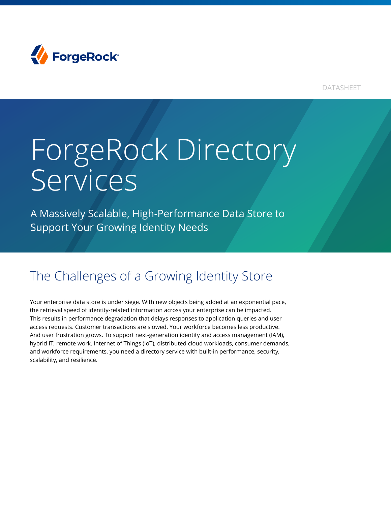

DATASHEET

# ForgeRock Directory Services

A Massively Scalable, High-Performance Data Store to Support Your Growing Identity Needs

## The Challenges of a Growing Identity Store

Your enterprise data store is under siege. With new objects being added at an exponential pace, the retrieval speed of identity-related information across your enterprise can be impacted. This results in performance degradation that delays responses to application queries and user access requests. Customer transactions are slowed. Your workforce becomes less productive. And user frustration grows. To support next-generation identity and access management (IAM), hybrid IT, remote work, Internet of Things (IoT), distributed cloud workloads, consumer demands, and workforce requirements, you need a directory service with built-in performance, security, scalability, and resilience.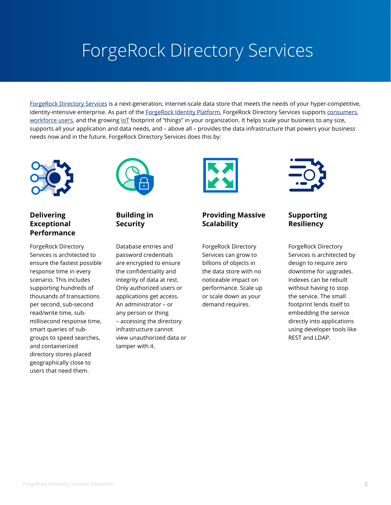## ForgeRock Directory Services

[ForgeRock Directory Services](https://www.forgerock.com/platform/directory-services) is a next-generation, internet-scale data store that meets the needs of your hyper-competitive, identity-intensive enterprise. As part of the [ForgeRock Identity Platform,](https://www.forgerock.com/identity-and-access-management-platform) ForgeRock Directory Services supports [consumers](https://www.forgerock.com/digital-identity/customer-identity), [workforce users](https://www.forgerock.com/digital-identity/employee-identity-access-management), and the growing loT footprint of "things" in your organization. It helps scale your business to any size, supports all your application and data needs, and – above all – provides the data infrastructure that powers your business needs now and in the future. ForgeRock Directory Services does this by:



#### **Delivering Exceptional Performance**

ForgeRock Directory Services is architected to ensure the fastest possible response time in every scenario. This includes supporting hundreds of thousands of transactions per second, sub-second read/write time, submillisecond response time, smart queries of subgroups to speed searches, and containerized directory stores placed geographically close to users that need them.



#### **Building in Security**

Database entries and password credentials are encrypted to ensure the confidentiality and integrity of data at rest. Only authorized users or applications get access. An administrator – or any person or thing – accessing the directory infrastructure cannot view unauthorized data or tamper with it.



#### **Providing Massive Scalability**

ForgeRock Directory Services can grow to billions of objects in the data store with no noticeable impact on performance. Scale up or scale down as your demand requires.



#### **Supporting Resiliency**

ForgeRock Directory Services is architected by design to require zero downtime for upgrades. Indexes can be rebuilt without having to stop the service. The small footprint lends itself to embedding the service directly into applications using developer tools like REST and LDAP.